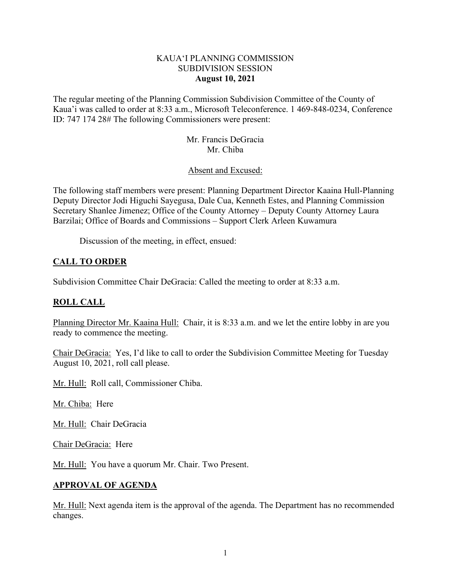### KAUA'I PLANNING COMMISSION SUBDIVISION SESSION **August 10, 2021**

The regular meeting of the Planning Commission Subdivision Committee of the County of Kaua'i was called to order at 8:33 a.m., Microsoft Teleconference. 1 469-848-0234, Conference ID: 747 174 28# The following Commissioners were present:

> Mr. Francis DeGracia Mr. Chiba

### Absent and Excused:

The following staff members were present: Planning Department Director Kaaina Hull-Planning Deputy Director Jodi Higuchi Sayegusa, Dale Cua, Kenneth Estes, and Planning Commission Secretary Shanlee Jimenez; Office of the County Attorney – Deputy County Attorney Laura Barzilai; Office of Boards and Commissions – Support Clerk Arleen Kuwamura

Discussion of the meeting, in effect, ensued:

## **CALL TO ORDER**

Subdivision Committee Chair DeGracia: Called the meeting to order at 8:33 a.m.

## **ROLL CALL**

Planning Director Mr. Kaaina Hull: Chair, it is 8:33 a.m. and we let the entire lobby in are you ready to commence the meeting.

Chair DeGracia: Yes, I'd like to call to order the Subdivision Committee Meeting for Tuesday August 10, 2021, roll call please.

Mr. Hull: Roll call, Commissioner Chiba.

Mr. Chiba: Here

Mr. Hull: Chair DeGracia

Chair DeGracia: Here

Mr. Hull: You have a quorum Mr. Chair. Two Present.

### **APPROVAL OF AGENDA**

Mr. Hull: Next agenda item is the approval of the agenda. The Department has no recommended changes.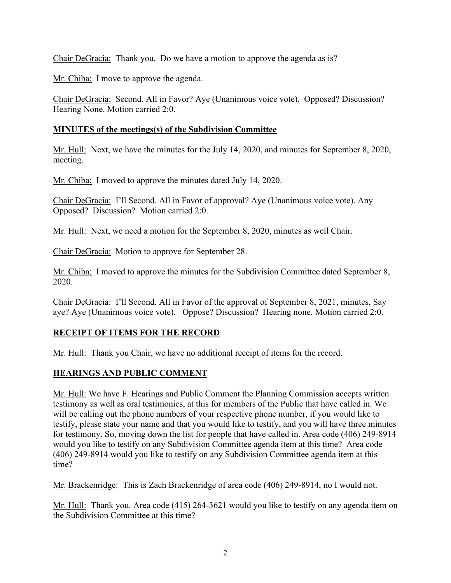Chair DeGracia: Thank you. Do we have a motion to approve the agenda as is?

Mr. Chiba: I move to approve the agenda.

Chair DeGracia: Second. All in Favor? Aye (Unanimous voice vote). Opposed? Discussion? Hearing None. Motion carried 2:0.

## **MINUTES of the meetings(s) of the Subdivision Committee**

Mr. Hull: Next, we have the minutes for the July 14, 2020, and minutes for September 8, 2020, meeting.

Mr. Chiba: I moved to approve the minutes dated July 14, 2020.

Chair DeGracia: I'll Second. All in Favor of approval? Aye (Unanimous voice vote). Any Opposed? Discussion? Motion carried 2:0.

Mr. Hull: Next, we need a motion for the September 8, 2020, minutes as well Chair.

Chair DeGracia: Motion to approve for September 28.

Mr. Chiba: I moved to approve the minutes for the Subdivision Committee dated September 8, 2020.

Chair DeGracia: I'll Second. All in Favor of the approval of September 8, 2021, minutes, Say aye? Aye (Unanimous voice vote). Oppose? Discussion? Hearing none. Motion carried 2:0.

# **RECEIPT OF ITEMS FOR THE RECORD**

Mr. Hull: Thank you Chair, we have no additional receipt of items for the record.

# **HEARINGS AND PUBLIC COMMENT**

Mr. Hull: We have F. Hearings and Public Comment the Planning Commission accepts written testimony as well as oral testimonies, at this for members of the Public that have called in. We will be calling out the phone numbers of your respective phone number, if you would like to testify, please state your name and that you would like to testify, and you will have three minutes for testimony. So, moving down the list for people that have called in. Area code (406) 249-8914 would you like to testify on any Subdivision Committee agenda item at this time? Area code (406) 249-8914 would you like to testify on any Subdivision Committee agenda item at this time?

Mr. Brackenridge: This is Zach Brackenridge of area code (406) 249-8914, no I would not.

Mr. Hull: Thank you. Area code (415) 264-3621 would you like to testify on any agenda item on the Subdivision Committee at this time?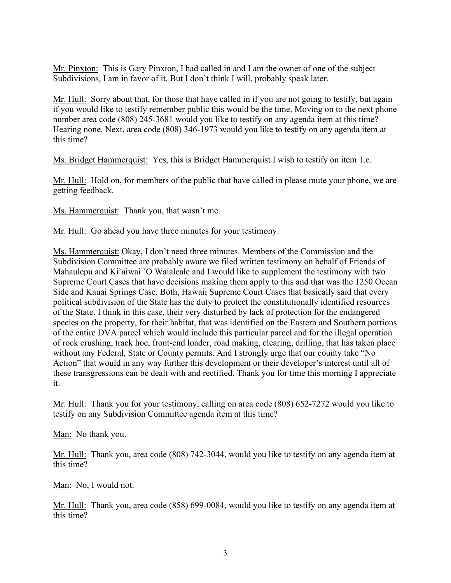Mr. Pinxton: This is Gary Pinxton, I had called in and I am the owner of one of the subject Subdivisions, I am in favor of it. But I don't think I will, probably speak later.

Mr. Hull: Sorry about that, for those that have called in if you are not going to testify, but again if you would like to testify remember public this would be the time. Moving on to the next phone number area code (808) 245-3681 would you like to testify on any agenda item at this time? Hearing none. Next, area code (808) 346-1973 would you like to testify on any agenda item at this time?

Ms. Bridget Hammerquist: Yes, this is Bridget Hammerquist I wish to testify on item 1.c.

Mr. Hull: Hold on, for members of the public that have called in please mute your phone, we are getting feedback.

Ms. Hammerquist: Thank you, that wasn't me.

Mr. Hull: Go ahead you have three minutes for your testimony.

Ms. Hammerquist: Okay, I don't need three minutes. Members of the Commission and the Subdivision Committee are probably aware we filed written testimony on behalf of Friends of Mahaulepu and Ki`aiwai `O Waialeale and I would like to supplement the testimony with two Supreme Court Cases that have decisions making them apply to this and that was the 1250 Ocean Side and Kauai Springs Case. Both, Hawaii Supreme Court Cases that basically said that every political subdivision of the State has the duty to protect the constitutionally identified resources of the State. I think in this case, their very disturbed by lack of protection for the endangered species on the property, for their habitat, that was identified on the Eastern and Southern portions of the entire DVA parcel which would include this particular parcel and for the illegal operation of rock crushing, track hoe, front-end loader, road making, clearing, drilling, that has taken place without any Federal, State or County permits. And I strongly urge that our county take "No Action" that would in any way further this development or their developer's interest until all of these transgressions can be dealt with and rectified. Thank you for time this morning I appreciate it.

Mr. Hull: Thank you for your testimony, calling on area code (808) 652-7272 would you like to testify on any Subdivision Committee agenda item at this time?

Man: No thank you.

Mr. Hull: Thank you, area code (808) 742-3044, would you like to testify on any agenda item at this time?

Man: No, I would not.

Mr. Hull: Thank you, area code (858) 699-0084, would you like to testify on any agenda item at this time?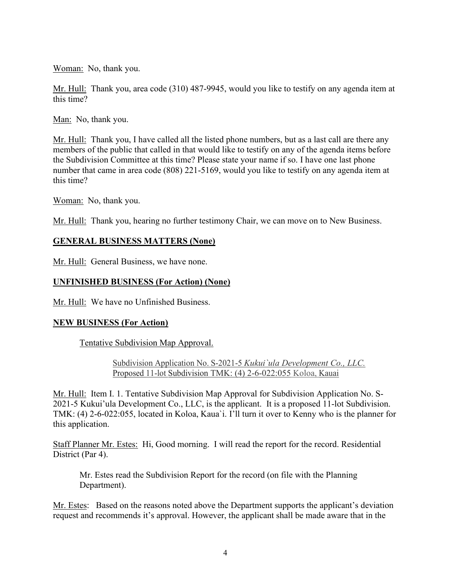Woman: No, thank you.

Mr. Hull: Thank you, area code (310) 487-9945, would you like to testify on any agenda item at this time?

Man: No, thank you.

Mr. Hull: Thank you, I have called all the listed phone numbers, but as a last call are there any members of the public that called in that would like to testify on any of the agenda items before the Subdivision Committee at this time? Please state your name if so. I have one last phone number that came in area code (808) 221-5169, would you like to testify on any agenda item at this time?

Woman: No, thank you.

Mr. Hull: Thank you, hearing no further testimony Chair, we can move on to New Business.

## **GENERAL BUSINESS MATTERS (None)**

Mr. Hull: General Business, we have none.

## **UNFINISHED BUSINESS (For Action) (None)**

Mr. Hull: We have no Unfinished Business.

### **NEW BUSINESS (For Action)**

Tentative Subdivision Map Approval.

Subdivision Application No. S-2021-5 *Kukui`ula Development Co., LLC.* Proposed 11-lot Subdivision TMK: (4) 2-6-022:055 Koloa, Kauai

Mr. Hull: Item I. 1. Tentative Subdivision Map Approval for Subdivision Application No. S-2021-5 Kukui'ula Development Co., LLC, is the applicant. It is a proposed 11-lot Subdivision. TMK: (4) 2-6-022:055, located in Koloa, Kaua`i. I'll turn it over to Kenny who is the planner for this application.

Staff Planner Mr. Estes: Hi, Good morning. I will read the report for the record. Residential District (Par 4).

Mr. Estes read the Subdivision Report for the record (on file with the Planning Department).

Mr. Estes: Based on the reasons noted above the Department supports the applicant's deviation request and recommends it's approval. However, the applicant shall be made aware that in the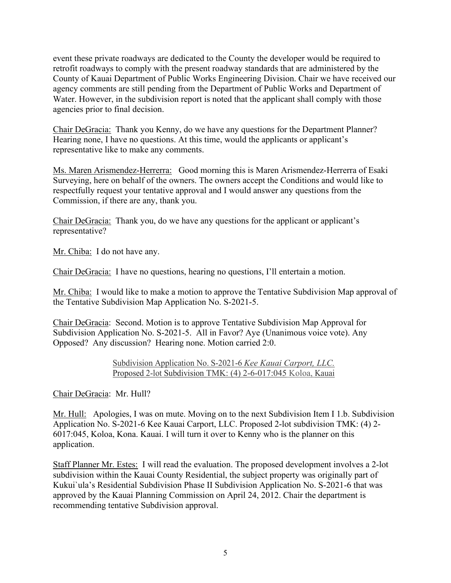event these private roadways are dedicated to the County the developer would be required to retrofit roadways to comply with the present roadway standards that are administered by the County of Kauai Department of Public Works Engineering Division. Chair we have received our agency comments are still pending from the Department of Public Works and Department of Water. However, in the subdivision report is noted that the applicant shall comply with those agencies prior to final decision.

Chair DeGracia: Thank you Kenny, do we have any questions for the Department Planner? Hearing none, I have no questions. At this time, would the applicants or applicant's representative like to make any comments.

Ms. Maren Arismendez-Herrerra: Good morning this is Maren Arismendez-Herrerra of Esaki Surveying, here on behalf of the owners. The owners accept the Conditions and would like to respectfully request your tentative approval and I would answer any questions from the Commission, if there are any, thank you.

Chair DeGracia: Thank you, do we have any questions for the applicant or applicant's representative?

Mr. Chiba: I do not have any.

Chair DeGracia: I have no questions, hearing no questions, I'll entertain a motion.

Mr. Chiba: I would like to make a motion to approve the Tentative Subdivision Map approval of the Tentative Subdivision Map Application No. S-2021-5.

Chair DeGracia: Second. Motion is to approve Tentative Subdivision Map Approval for Subdivision Application No. S-2021-5. All in Favor? Aye (Unanimous voice vote). Any Opposed? Any discussion? Hearing none. Motion carried 2:0.

> Subdivision Application No. S-2021-6 *Kee Kauai Carport, LLC.* Proposed 2-lot Subdivision TMK: (4) 2-6-017:045 Koloa, Kauai

Chair DeGracia: Mr. Hull?

Mr. Hull: Apologies, I was on mute. Moving on to the next Subdivision Item I 1.b. Subdivision Application No. S-2021-6 Kee Kauai Carport, LLC. Proposed 2-lot subdivision TMK: (4) 2- 6017:045, Koloa, Kona. Kauai. I will turn it over to Kenny who is the planner on this application.

Staff Planner Mr. Estes: I will read the evaluation. The proposed development involves a 2-lot subdivision within the Kauai County Residential, the subject property was originally part of Kukui`ula's Residential Subdivision Phase II Subdivision Application No. S-2021-6 that was approved by the Kauai Planning Commission on April 24, 2012. Chair the department is recommending tentative Subdivision approval.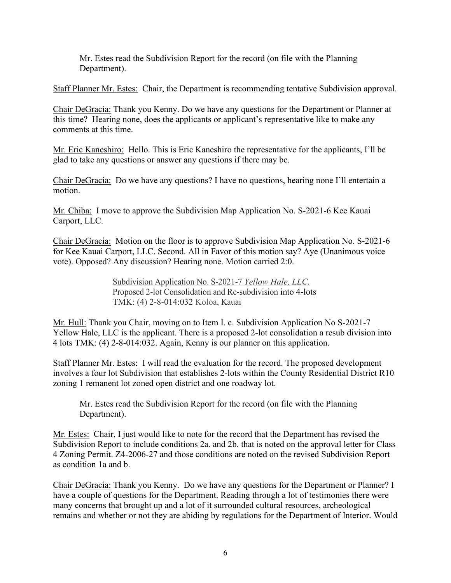Mr. Estes read the Subdivision Report for the record (on file with the Planning Department).

Staff Planner Mr. Estes: Chair, the Department is recommending tentative Subdivision approval.

Chair DeGracia: Thank you Kenny. Do we have any questions for the Department or Planner at this time? Hearing none, does the applicants or applicant's representative like to make any comments at this time.

Mr. Eric Kaneshiro: Hello. This is Eric Kaneshiro the representative for the applicants, I'll be glad to take any questions or answer any questions if there may be.

Chair DeGracia: Do we have any questions? I have no questions, hearing none I'll entertain a motion.

Mr. Chiba: I move to approve the Subdivision Map Application No. S-2021-6 Kee Kauai Carport, LLC.

Chair DeGracia: Motion on the floor is to approve Subdivision Map Application No. S-2021-6 for Kee Kauai Carport, LLC. Second. All in Favor of this motion say? Aye (Unanimous voice vote). Opposed? Any discussion? Hearing none. Motion carried 2:0.

> Subdivision Application No. S-2021-7 *Yellow Hale, LLC.* Proposed 2-lot Consolidation and Re-subdivision into 4-lots TMK: (4) 2-8-014:032 Koloa, Kauai

Mr. Hull: Thank you Chair, moving on to Item I. c. Subdivision Application No S-2021-7 Yellow Hale, LLC is the applicant. There is a proposed 2-lot consolidation a resub division into 4 lots TMK: (4) 2-8-014:032. Again, Kenny is our planner on this application.

Staff Planner Mr. Estes: I will read the evaluation for the record. The proposed development involves a four lot Subdivision that establishes 2-lots within the County Residential District R10 zoning 1 remanent lot zoned open district and one roadway lot.

Mr. Estes read the Subdivision Report for the record (on file with the Planning Department).

Mr. Estes: Chair, I just would like to note for the record that the Department has revised the Subdivision Report to include conditions 2a. and 2b. that is noted on the approval letter for Class 4 Zoning Permit. Z4-2006-27 and those conditions are noted on the revised Subdivision Report as condition 1a and b.

Chair DeGracia: Thank you Kenny. Do we have any questions for the Department or Planner? I have a couple of questions for the Department. Reading through a lot of testimonies there were many concerns that brought up and a lot of it surrounded cultural resources, archeological remains and whether or not they are abiding by regulations for the Department of Interior. Would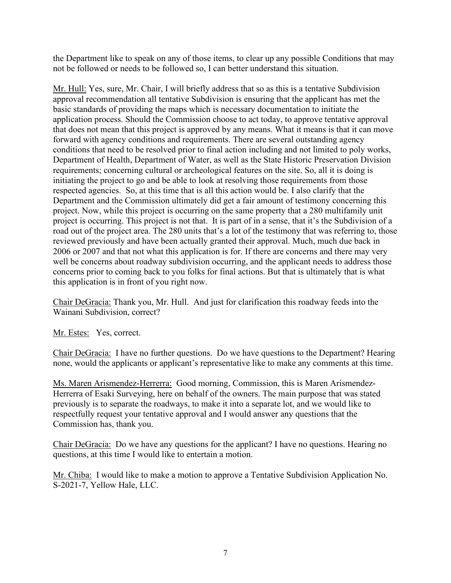the Department like to speak on any of those items, to clear up any possible Conditions that may not be followed or needs to be followed so, I can better understand this situation.

Mr. Hull: Yes, sure, Mr. Chair, I will briefly address that so as this is a tentative Subdivision approval recommendation all tentative Subdivision is ensuring that the applicant has met the basic standards of providing the maps which is necessary documentation to initiate the application process. Should the Commission choose to act today, to approve tentative approval that does not mean that this project is approved by any means. What it means is that it can move forward with agency conditions and requirements. There are several outstanding agency conditions that need to be resolved prior to final action including and not limited to poly works, Department of Health, Department of Water, as well as the State Historic Preservation Division requirements; concerning cultural or archeological features on the site. So, all it is doing is initiating the project to go and be able to look at resolving those requirements from those respected agencies. So, at this time that is all this action would be. I also clarify that the Department and the Commission ultimately did get a fair amount of testimony concerning this project. Now, while this project is occurring on the same property that a 280 multifamily unit project is occurring. This project is not that. It is part of in a sense, that it's the Subdivision of a road out of the project area. The 280 units that's a lot of the testimony that was referring to, those reviewed previously and have been actually granted their approval. Much, much due back in 2006 or 2007 and that not what this application is for. If there are concerns and there may very well be concerns about roadway subdivision occurring, and the applicant needs to address those concerns prior to coming back to you folks for final actions. But that is ultimately that is what this application is in front of you right now.

Chair DeGracia: Thank you, Mr. Hull. And just for clarification this roadway feeds into the Wainani Subdivision, correct?

Mr. Estes: Yes, correct.

Chair DeGracia: I have no further questions. Do we have questions to the Department? Hearing none, would the applicants or applicant's representative like to make any comments at this time.

Ms. Maren Arismendez-Herrerra: Good morning, Commission, this is Maren Arismendez-Herrerra of Esaki Surveying, here on behalf of the owners. The main purpose that was stated previously is to separate the roadways, to make it into a separate lot, and we would like to respectfully request your tentative approval and I would answer any questions that the Commission has, thank you.

Chair DeGracia: Do we have any questions for the applicant? I have no questions. Hearing no questions, at this time I would like to entertain a motion.

Mr. Chiba: I would like to make a motion to approve a Tentative Subdivision Application No. S-2021-7, Yellow Hale, LLC.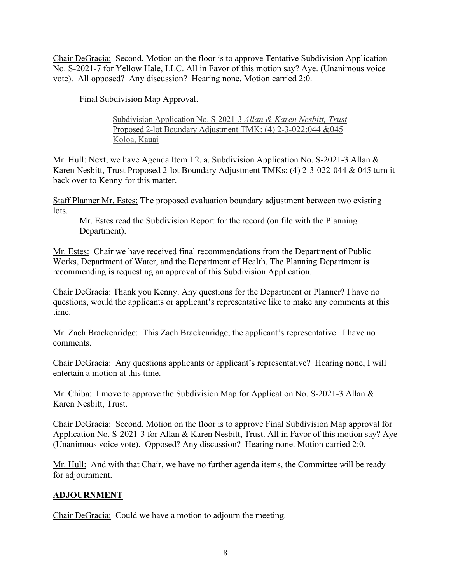Chair DeGracia: Second. Motion on the floor is to approve Tentative Subdivision Application No. S-2021-7 for Yellow Hale, LLC. All in Favor of this motion say? Aye. (Unanimous voice vote). All opposed? Any discussion? Hearing none. Motion carried 2:0.

Final Subdivision Map Approval.

Subdivision Application No. S-2021-3 *Allan & Karen Nesbitt, Trust* Proposed 2-lot Boundary Adjustment TMK: (4) 2-3-022:044 &045 Koloa, Kauai

Mr. Hull: Next, we have Agenda Item I 2. a. Subdivision Application No. S-2021-3 Allan & Karen Nesbitt, Trust Proposed 2-lot Boundary Adjustment TMKs: (4) 2-3-022-044 & 045 turn it back over to Kenny for this matter.

Staff Planner Mr. Estes: The proposed evaluation boundary adjustment between two existing lots.

Mr. Estes read the Subdivision Report for the record (on file with the Planning Department).

Mr. Estes: Chair we have received final recommendations from the Department of Public Works, Department of Water, and the Department of Health. The Planning Department is recommending is requesting an approval of this Subdivision Application.

Chair DeGracia: Thank you Kenny. Any questions for the Department or Planner? I have no questions, would the applicants or applicant's representative like to make any comments at this time.

Mr. Zach Brackenridge: This Zach Brackenridge, the applicant's representative. I have no comments.

Chair DeGracia: Any questions applicants or applicant's representative? Hearing none, I will entertain a motion at this time.

Mr. Chiba: I move to approve the Subdivision Map for Application No. S-2021-3 Allan & Karen Nesbitt, Trust.

Chair DeGracia: Second. Motion on the floor is to approve Final Subdivision Map approval for Application No. S-2021-3 for Allan & Karen Nesbitt, Trust. All in Favor of this motion say? Aye (Unanimous voice vote). Opposed? Any discussion? Hearing none. Motion carried 2:0.

Mr. Hull: And with that Chair, we have no further agenda items, the Committee will be ready for adjournment.

## **ADJOURNMENT**

Chair DeGracia: Could we have a motion to adjourn the meeting.